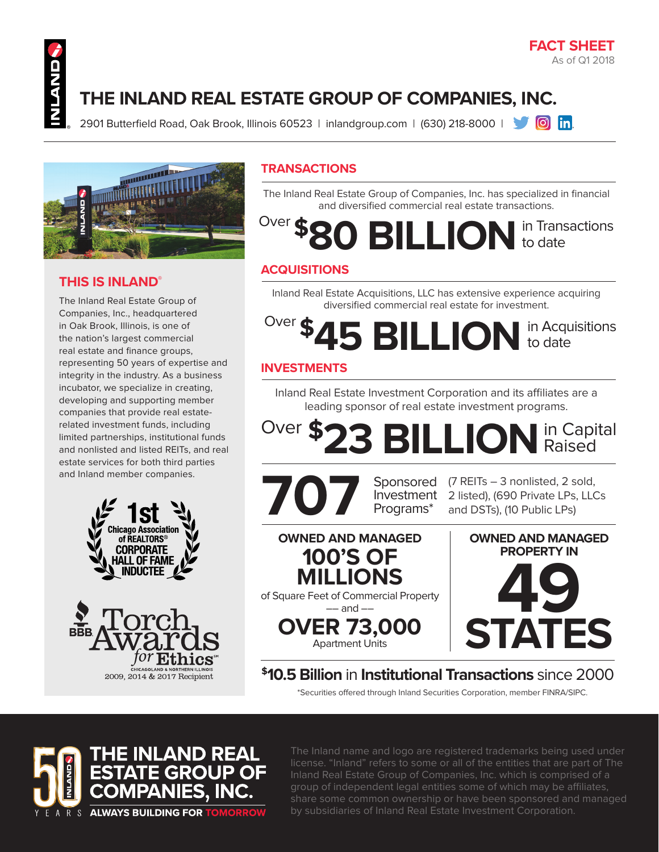#### **FACT SHEET** As of Q1 2018

# **THE INLAND REAL ESTATE GROUP OF COMPANIES, INC.**

2901 Butterfield Road, Oak Brook, Illinois 60523 | inlandgroup.com | (630) 218-8000 | **1989 [6]** [n]



#### **THIS IS INLAND®**

The Inland Real Estate Group of Companies, Inc., headquartered in Oak Brook, Illinois, is one of the nation's largest commercial real estate and finance groups, representing 50 years of expertise and integrity in the industry. As a business incubator, we specialize in creating, developing and supporting member companies that provide real estaterelated investment funds, including limited partnerships, institutional funds and nonlisted and listed REITs, and real estate services for both third parties and Inland member companies.





#### **TRANSACTIONS**

The Inland Real Estate Group of Companies, Inc. has specialized in financial and diversified commercial real estate transactions.

**\$80 BILLION** in Transactions to date Over  $\triangle$ 

#### **ACQUISITIONS**

Inland Real Estate Acquisitions, LLC has extensive experience acquiring diversified commercial real estate for investment.

## **\$45 BILLION** to date to date Over \$

### **INVESTMENTS**

Inland Real Estate Investment Corporation and its affiliates are a leading sponsor of real estate investment programs.

**\$23 BILLION**in Capital Raised Over **T** 



**OWNED AND MANAGED 100'S OF MILLIONS** of Square Feet of Commercial Property –– and –– **OVER 73,000** Apartment Units

(7 REITs – 3 nonlisted, 2 sold, and DSTs), (10 Public LPs)

2 listed), (690 Private LPs, LLCs

**49 STATES OWNED AND MANAGED PROPERTY IN**

**\$10.5 Billion** in **Institutional Transactions** since 2000

\*Securities offered through Inland Securities Corporation, member FINRA/SIPC.



The Inland name and logo are registered trademarks being used under license. "Inland" refers to some or all of the entities that are part of The Inland Real Estate Group of Companies, Inc. which is comprised of a group of independent legal entities some of which may be affiliates, share some common ownership or have been sponsored and managed by subsidiaries of Inland Real Estate Investment Corporation.